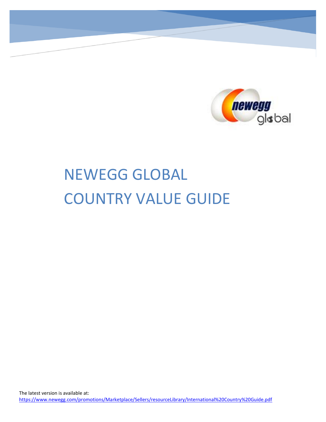

# NEWEGG GLOBAL COUNTRY VALUE GUIDE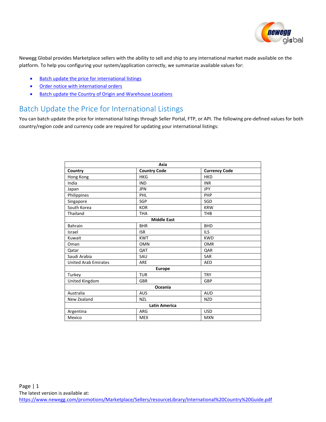

Newegg Global provides Marketplace sellers with the ability to sell and ship to any international market made available on the platform. To help you configuring your system/application correctly, we summarize available values for:

- [Batch update the price for international listings](#page-1-0)
- [Order notice with international orders](#page-1-1)
- **Batch update the Country of Origin and Warehouse Locations**

### <span id="page-1-0"></span>Batch Update the Price for International Listings

You can batch update the price for international listings through Seller Portal, FTP, or API. The following pre-defined values for both country/region code and currency code are required for updating your international listings:

<span id="page-1-1"></span>

| Asia                        |                     |                      |  |  |  |
|-----------------------------|---------------------|----------------------|--|--|--|
| Country                     | <b>Country Code</b> | <b>Currency Code</b> |  |  |  |
| Hong Kong                   | <b>HKG</b>          | <b>HKD</b>           |  |  |  |
| India                       | <b>IND</b>          | <b>INR</b>           |  |  |  |
| Japan                       | <b>JPN</b>          | <b>JPY</b>           |  |  |  |
| Philippines                 | PHL                 | PHP                  |  |  |  |
| Singapore                   | <b>SGP</b>          | SGD                  |  |  |  |
| South Korea                 | <b>KOR</b>          | <b>KRW</b>           |  |  |  |
| Thailand                    | <b>THA</b>          | <b>THB</b>           |  |  |  |
|                             | <b>Middle East</b>  |                      |  |  |  |
| <b>Bahrain</b>              | <b>BHR</b>          | <b>BHD</b>           |  |  |  |
| Israel                      | <b>ISR</b>          | <b>ILS</b>           |  |  |  |
| Kuwait                      | <b>KWT</b>          | <b>KWD</b>           |  |  |  |
| Oman                        | <b>OMN</b>          | <b>OMR</b>           |  |  |  |
| Qatar                       | QAT                 | QAR                  |  |  |  |
| Saudi Arabia                | SAU                 | <b>SAR</b>           |  |  |  |
| <b>United Arab Emirates</b> | ARE                 | AED                  |  |  |  |
| <b>Europe</b>               |                     |                      |  |  |  |
| Turkey                      | <b>TUR</b>          | <b>TRY</b>           |  |  |  |
| United Kingdom              | <b>GBR</b>          | GBP                  |  |  |  |
| Oceania                     |                     |                      |  |  |  |
| Australia                   | <b>AUS</b>          | <b>AUD</b>           |  |  |  |
| New Zealand                 | <b>NZL</b>          | <b>NZD</b>           |  |  |  |
| <b>Latin America</b>        |                     |                      |  |  |  |
| Argentina                   | ARG                 | <b>USD</b>           |  |  |  |
| Mexico                      | <b>MEX</b>          | <b>MXN</b>           |  |  |  |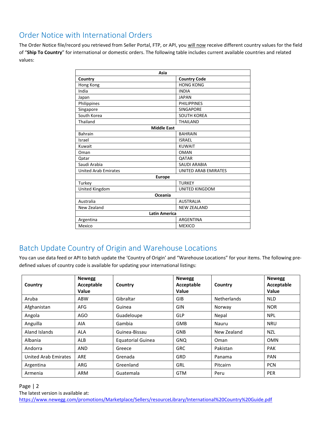## Order Notice with International Orders

The Order Notice file/record you retrieved from Seller Portal, FTP, or API, you will now receive different country values for the field of "**Ship To Country**" for international or domestic orders. The following table includes current available countries and related values:

| Asia                        |                       |  |  |  |  |  |
|-----------------------------|-----------------------|--|--|--|--|--|
| Country                     | <b>Country Code</b>   |  |  |  |  |  |
| Hong Kong                   | <b>HONG KONG</b>      |  |  |  |  |  |
| India                       | <b>INDIA</b>          |  |  |  |  |  |
| Japan                       | <b>JAPAN</b>          |  |  |  |  |  |
| Philippines                 | <b>PHILIPPINES</b>    |  |  |  |  |  |
| Singapore                   | <b>SINGAPORE</b>      |  |  |  |  |  |
| South Korea                 | <b>SOUTH KOREA</b>    |  |  |  |  |  |
| Thailand                    | <b>THAILAND</b>       |  |  |  |  |  |
| <b>Middle East</b>          |                       |  |  |  |  |  |
| <b>Bahrain</b>              | <b>BAHRAIN</b>        |  |  |  |  |  |
| Israel                      | <b>ISRAEL</b>         |  |  |  |  |  |
| Kuwait                      | <b>KUWAIT</b>         |  |  |  |  |  |
| Oman                        | <b>OMAN</b>           |  |  |  |  |  |
| Qatar                       | <b>QATAR</b>          |  |  |  |  |  |
| Saudi Arabia                | <b>SAUDI ARABIA</b>   |  |  |  |  |  |
| <b>United Arab Emirates</b> | UNITED ARAB EMIRATES  |  |  |  |  |  |
| <b>Europe</b>               |                       |  |  |  |  |  |
| Turkey                      | <b>TURKEY</b>         |  |  |  |  |  |
| United Kingdom              | <b>UNITED KINGDOM</b> |  |  |  |  |  |
| Oceania                     |                       |  |  |  |  |  |
| Australia                   | <b>AUSTRALIA</b>      |  |  |  |  |  |
| New Zealand                 | <b>NEW ZEALAND</b>    |  |  |  |  |  |
| <b>Latin America</b>        |                       |  |  |  |  |  |
| Argentina                   | <b>ARGENTINA</b>      |  |  |  |  |  |
| Mexico                      | <b>MEXICO</b>         |  |  |  |  |  |

## Batch Update Country of Origin and Warehouse Locations

You can use data feed or API to batch update the 'Country of Origin' and "Warehouse Locations" for your items. The following predefined values of country code is available for updating your international listings:

| Country                     | <b>Newegg</b><br>Acceptable<br><b>Value</b> | Country                  | <b>Newegg</b><br>Acceptable<br>Value | Country            | <b>Newegg</b><br>Acceptable<br>Value |
|-----------------------------|---------------------------------------------|--------------------------|--------------------------------------|--------------------|--------------------------------------|
| Aruba                       | <b>ABW</b>                                  | Gibraltar                | <b>GIB</b>                           | <b>Netherlands</b> | <b>NLD</b>                           |
| Afghanistan                 | AFG                                         | Guinea                   | <b>GIN</b>                           | Norway             | <b>NOR</b>                           |
| Angola                      | AGO                                         | Guadeloupe               | <b>GLP</b>                           | Nepal              | <b>NPL</b>                           |
| Anguilla                    | AIA                                         | Gambia                   | <b>GMB</b>                           | Nauru              | <b>NRU</b>                           |
| Aland Islands               | <b>ALA</b>                                  | Guinea-Bissau            | <b>GNB</b>                           | New Zealand        | <b>NZL</b>                           |
| Albania                     | ALB                                         | <b>Equatorial Guinea</b> | <b>GNO</b>                           | Oman               | <b>OMN</b>                           |
| Andorra                     | <b>AND</b>                                  | Greece                   | <b>GRC</b>                           | Pakistan           | <b>PAK</b>                           |
| <b>United Arab Emirates</b> | ARE                                         | Grenada                  | <b>GRD</b>                           | Panama             | <b>PAN</b>                           |
| Argentina                   | ARG                                         | Greenland                | <b>GRL</b>                           | Pitcairn           | <b>PCN</b>                           |
| Armenia                     | <b>ARM</b>                                  | Guatemala                | <b>GTM</b>                           | Peru               | PER                                  |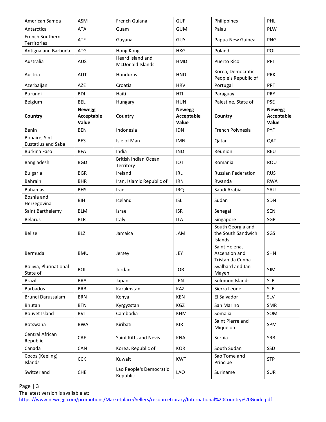| American Samoa                             | <b>ASM</b>                           | French Guiana                               | <b>GUF</b>                           | Philippines                                        | PHL                                  |
|--------------------------------------------|--------------------------------------|---------------------------------------------|--------------------------------------|----------------------------------------------------|--------------------------------------|
| Antarctica                                 | <b>ATA</b>                           | Guam                                        | <b>GUM</b>                           | Palau                                              | PLW                                  |
| French Southern<br>Territories             | ATF                                  | Guyana                                      | GUY                                  | Papua New Guinea                                   | <b>PNG</b>                           |
| Antigua and Barbuda                        | <b>ATG</b>                           | Hong Kong                                   | <b>HKG</b>                           | Poland                                             | POL                                  |
| Australia                                  | <b>AUS</b>                           | Heard Island and<br><b>McDonald Islands</b> | HMD                                  | Puerto Rico                                        | PRI                                  |
| Austria                                    | <b>AUT</b>                           | Honduras                                    | <b>HND</b>                           | Korea, Democratic<br>People's Republic of          | <b>PRK</b>                           |
| Azerbaijan                                 | AZE                                  | Croatia                                     | <b>HRV</b>                           | Portugal                                           | PRT                                  |
| Burundi                                    | <b>BDI</b>                           | Haiti                                       | HTI                                  | Paraguay                                           | <b>PRY</b>                           |
| Belgium                                    | <b>BEL</b>                           | Hungary                                     | <b>HUN</b>                           | Palestine, State of                                | <b>PSE</b>                           |
| Country                                    | <b>Newegg</b><br>Acceptable<br>Value | Country                                     | <b>Newegg</b><br>Acceptable<br>Value | Country                                            | <b>Newegg</b><br>Acceptable<br>Value |
| <b>Benin</b>                               | <b>BEN</b>                           | Indonesia                                   | <b>IDN</b>                           | French Polynesia                                   | PYF                                  |
| Bonaire, Sint<br><b>Eustatius and Saba</b> | <b>BES</b>                           | Isle of Man                                 | <b>IMN</b>                           | Qatar                                              | QAT                                  |
| <b>Burkina Faso</b>                        | <b>BFA</b>                           | India                                       | <b>IND</b>                           | Réunion                                            | <b>REU</b>                           |
| Bangladesh                                 | <b>BGD</b>                           | <b>British Indian Ocean</b><br>Territory    | <b>IOT</b>                           | Romania                                            | ROU                                  |
| <b>Bulgaria</b>                            | <b>BGR</b>                           | Ireland                                     | <b>IRL</b>                           | <b>Russian Federation</b>                          | <b>RUS</b>                           |
| <b>Bahrain</b>                             | <b>BHR</b>                           | Iran, Islamic Republic of                   | <b>IRN</b>                           | Rwanda                                             | <b>RWA</b>                           |
| <b>Bahamas</b>                             | <b>BHS</b>                           | Iraq                                        | <b>IRQ</b>                           | Saudi Arabia                                       | SAU                                  |
| Bosnia and<br>Herzegovina                  | <b>BIH</b>                           | Iceland                                     | <b>ISL</b>                           | Sudan                                              | SDN                                  |
| Saint Barthélemy                           | <b>BLM</b>                           | Israel                                      | <b>ISR</b>                           | Senegal                                            | <b>SEN</b>                           |
| <b>Belarus</b>                             | <b>BLR</b>                           | Italy                                       | <b>ITA</b>                           | Singapore                                          | SGP                                  |
| <b>Belize</b>                              | <b>BLZ</b>                           | Jamaica                                     | JAM                                  | South Georgia and<br>the South Sandwich<br>Islands | SGS                                  |
| Bermuda                                    | <b>BMU</b>                           | Jersey                                      | JEY                                  | Saint Helena,<br>Ascension and<br>Tristan da Cunha | <b>SHN</b>                           |
| Bolivia, Plurinational<br>State of         | <b>BOL</b>                           | Jordan                                      | <b>JOR</b>                           | Svalbard and Jan<br>Mayen                          | <b>SJM</b>                           |
| Brazil                                     | <b>BRA</b>                           | Japan                                       | <b>JPN</b>                           | Solomon Islands                                    | <b>SLB</b>                           |
| <b>Barbados</b>                            | <b>BRB</b>                           | Kazakhstan                                  | KAZ                                  | Sierra Leone                                       | <b>SLE</b>                           |
| Brunei Darussalam                          | <b>BRN</b>                           | Kenya                                       | KEN                                  | El Salvador                                        | SLV                                  |
| <b>Bhutan</b>                              | <b>BTN</b>                           | Kyrgyzstan                                  | KGZ                                  | San Marino                                         | SMR                                  |
| Bouvet Island                              | <b>BVT</b>                           | Cambodia                                    | <b>KHM</b>                           | Somalia                                            | SOM                                  |
| Botswana                                   | <b>BWA</b>                           | Kiribati                                    | <b>KIR</b>                           | Saint Pierre and<br>Miquelon                       | SPM                                  |
| Central African<br>Republic                | CAF                                  | Saint Kitts and Nevis                       | <b>KNA</b>                           | Serbia                                             | SRB                                  |
| Canada                                     | CAN                                  | Korea, Republic of                          | <b>KOR</b>                           | South Sudan                                        | SSD                                  |
| Cocos (Keeling)<br>Islands                 | <b>CCK</b>                           | Kuwait                                      | <b>KWT</b>                           | Sao Tome and<br>Principe                           | <b>STP</b>                           |
| Switzerland                                | <b>CHE</b>                           | Lao People's Democratic<br>Republic         | LAO                                  | Suriname                                           | <b>SUR</b>                           |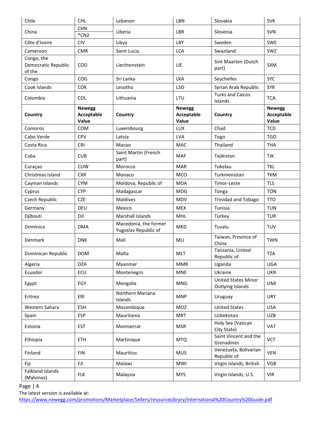| Chile                                       | <b>CHL</b>                           | Lebanon                                       | LBN                                  | Slovakia                                       | <b>SVK</b>                           |
|---------------------------------------------|--------------------------------------|-----------------------------------------------|--------------------------------------|------------------------------------------------|--------------------------------------|
| China                                       | <b>CHN</b><br>$*CN2$                 | Liberia                                       | <b>LBR</b>                           | Slovenia                                       | <b>SVN</b>                           |
| Côte d'Ivoire                               | <b>CIV</b>                           | Libya                                         | LBY                                  | Sweden                                         | <b>SWE</b>                           |
| Cameroon                                    | <b>CMR</b>                           | Saint Lucia                                   | <b>LCA</b>                           | Swaziland                                      | SWZ                                  |
| Congo, the<br>Democratic Republic<br>of the | COD                                  | Liechtenstein                                 | LIE                                  | Sint Maarten (Dutch<br>part)                   | SXM                                  |
| Congo                                       | COG                                  | Sri Lanka                                     | <b>LKA</b>                           | Seychelles                                     | <b>SYC</b>                           |
| Cook Islands                                | <b>COK</b>                           | Lesotho                                       | <b>LSO</b>                           | Syrian Arab Republic                           | <b>SYR</b>                           |
| Colombia                                    | <b>COL</b>                           | Lithuania                                     | LTU                                  | <b>Turks and Caicos</b><br>Islands             | <b>TCA</b>                           |
| Country                                     | <b>Newegg</b><br>Acceptable<br>Value | Country                                       | <b>Newegg</b><br>Acceptable<br>Value | Country                                        | <b>Newegg</b><br>Acceptable<br>Value |
| Comoros                                     | COM                                  | Luxembourg                                    | <b>LUX</b>                           | Chad                                           | <b>TCD</b>                           |
| Cabo Verde                                  | <b>CPV</b>                           | Latvia                                        | LVA                                  | Togo                                           | <b>TGO</b>                           |
| Costa Rica                                  | <b>CRI</b>                           | Macao                                         | <b>MAC</b>                           | Thailand                                       | <b>THA</b>                           |
| Cuba                                        | <b>CUB</b>                           | Saint Martin (French<br>part)                 | <b>MAF</b>                           | Tajikistan                                     | <b>TJK</b>                           |
| Curaçao                                     | <b>CUW</b>                           | Morocco                                       | <b>MAR</b>                           | Tokelau                                        | <b>TKL</b>                           |
| Christmas Island                            | <b>CXR</b>                           | Monaco                                        | <b>MCO</b>                           | Turkmenistan                                   | <b>TKM</b>                           |
| Cayman Islands                              | <b>CYM</b>                           | Moldova, Republic of                          | <b>MDA</b>                           | Timor-Leste                                    | <b>TLS</b>                           |
| Cyprus                                      | <b>CYP</b>                           | Madagascar                                    | <b>MDG</b>                           | Tonga                                          | <b>TON</b>                           |
| Czech Republic                              | <b>CZE</b>                           | <b>Maldives</b>                               | <b>MDV</b>                           | <b>Trinidad and Tobago</b>                     | <b>TTO</b>                           |
| Germany                                     | DEU                                  | Mexico                                        | <b>MEX</b>                           | Tunisia                                        | <b>TUN</b>                           |
| Djibouti                                    | DJI                                  | Marshall Islands                              | <b>MHL</b>                           | Turkey                                         | <b>TUR</b>                           |
| Dominica                                    | <b>DMA</b>                           | Macedonia, the former<br>Yugoslav Republic of | <b>MKD</b>                           | Tuvalu                                         | <b>TUV</b>                           |
| Denmark                                     | <b>DNK</b>                           | Mali                                          | MLI                                  | Taiwan, Province of<br>China                   | <b>TWN</b>                           |
| Dominican Republic                          | <b>DOM</b>                           | Malta                                         | <b>MLT</b>                           | Tanzania, United<br>Republic of                | <b>TZA</b>                           |
| Algeria                                     | <b>DZA</b>                           | Myanmar                                       | <b>MMR</b>                           | Uganda                                         | <b>UGA</b>                           |
| Ecuador                                     | ECU                                  | Montenegro                                    | <b>MNE</b>                           | Ukraine                                        | <b>UKR</b>                           |
| Egypt                                       | EGY                                  | Mongolia                                      | <b>MNG</b>                           | <b>United States Minor</b><br>Outlying Islands | UMI                                  |
| Eritrea                                     | ERI                                  | Northern Mariana<br>Islands                   | <b>MNP</b>                           | Uruguay                                        | <b>URY</b>                           |
| Western Sahara                              | <b>ESH</b>                           | Mozambique                                    | MOZ                                  | <b>United States</b>                           | <b>USA</b>                           |
| Spain                                       | <b>ESP</b>                           | Mauritania                                    | <b>MRT</b>                           | Uzbekistan                                     | <b>UZB</b>                           |
| Estonia                                     | <b>EST</b>                           | Montserrat                                    | <b>MSR</b>                           | Holy See (Vatican<br>City State)               | <b>VAT</b>                           |
| Ethiopia                                    | <b>ETH</b>                           | Martinique                                    | <b>MTQ</b>                           | Saint Vincent and the<br>Grenadines            | <b>VCT</b>                           |
| Finland                                     | <b>FIN</b>                           | Mauritius                                     | <b>MUS</b>                           | Venezuela, Bolivarian<br>Republic of           | <b>VEN</b>                           |
| Fiji                                        | <b>FJI</b>                           | Malawi                                        | MWI                                  | Virgin Islands, British                        | <b>VGB</b>                           |
| <b>Falkland Islands</b><br>(Malvinas)       | <b>FLK</b>                           | Malaysia                                      | <b>MYS</b>                           | Virgin Islands, U.S.                           | <b>VIR</b>                           |

Page | 4

The latest version is available at:

<https://www.newegg.com/promotions/Marketplace/Sellers/resourceLibrary/International%20Country%20Guide.pdf>